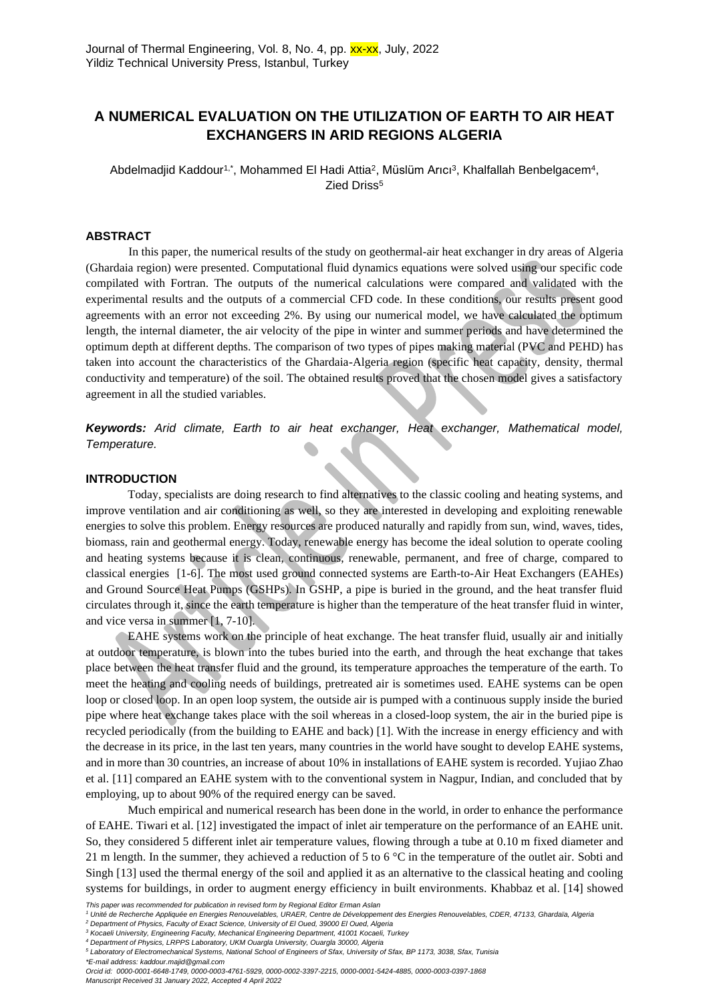# **A NUMERICAL EVALUATION ON THE UTILIZATION OF EARTH TO AIR HEAT EXCHANGERS IN ARID REGIONS ALGERIA**

Abdelmadjid Kaddour<sup>1,\*</sup>, Mohammed El Hadi Attia<sup>2</sup>, Müslüm Arıcı<sup>3</sup>, Khalfallah Benbelgacem<sup>4</sup>, Zied Driss<sup>5</sup>

### **ABSTRACT**

In this paper, the numerical results of the study on geothermal-air heat exchanger in dry areas of Algeria (Ghardaia region) were presented. Computational fluid dynamics equations were solved using our specific code compilated with Fortran. The outputs of the numerical calculations were compared and validated with the experimental results and the outputs of a commercial CFD code. In these conditions, our results present good agreements with an error not exceeding 2%. By using our numerical model, we have calculated the optimum length, the internal diameter, the air velocity of the pipe in winter and summer periods and have determined the optimum depth at different depths. The comparison of two types of pipes making material (PVC and PEHD) has taken into account the characteristics of the Ghardaia-Algeria region (specific heat capacity, density, thermal conductivity and temperature) of the soil. The obtained results proved that the chosen model gives a satisfactory agreement in all the studied variables.

*Keywords: Arid climate, Earth to air heat exchanger, Heat exchanger, Mathematical model, Temperature.*

# **INTRODUCTION**

Today, specialists are doing research to find alternatives to the classic cooling and heating systems, and improve ventilation and air conditioning as well, so they are interested in developing and exploiting renewable energies to solve this problem. Energy resources are produced naturally and rapidly from sun, wind, waves, tides, biomass, rain and geothermal energy. Today, renewable energy has become the ideal solution to operate cooling and heating systems because it is clean, continuous, renewable, permanent, and free of charge, compared to classical energies [1-6]. The most used ground connected systems are Earth-to-Air Heat Exchangers (EAHEs) and Ground Source Heat Pumps (GSHPs). In GSHP, a pipe is buried in the ground, and the heat transfer fluid circulates through it, since the earth temperature is higher than the temperature of the heat transfer fluid in winter, and vice versa in summer [1, 7-10].

EAHE systems work on the principle of heat exchange. The heat transfer fluid, usually air and initially at outdoor temperature, is blown into the tubes buried into the earth, and through the heat exchange that takes place between the heat transfer fluid and the ground, its temperature approaches the temperature of the earth. To meet the heating and cooling needs of buildings, pretreated air is sometimes used. EAHE systems can be open loop or closed loop. In an open loop system, the outside air is pumped with a continuous supply inside the buried pipe where heat exchange takes place with the soil whereas in a closed-loop system, the air in the buried pipe is recycled periodically (from the building to EAHE and back) [1]. With the increase in energy efficiency and with the decrease in its price, in the last ten years, many countries in the world have sought to develop EAHE systems, and in more than 30 countries, an increase of about 10% in installations of EAHE system is recorded. Yujiao Zhao et al. [11] compared an EAHE system with to the conventional system in Nagpur, Indian, and concluded that by employing, up to about 90% of the required energy can be saved.

Much empirical and numerical research has been done in the world, in order to enhance the performance of EAHE. Tiwari et al. [12] investigated the impact of inlet air temperature on the performance of an EAHE unit. So, they considered 5 different inlet air temperature values, flowing through a tube at 0.10 m fixed diameter and 21 m length. In the summer, they achieved a reduction of 5 to 6 °C in the temperature of the outlet air. Sobti and Singh [13] used the thermal energy of the soil and applied it as an alternative to the classical heating and cooling systems for buildings, in order to augment energy efficiency in built environments. Khabbaz et al. [14] showed

*\*E-mail address: kaddour.majid@gmail.com*

*This paper was recommended for publication in revised form by Regional Editor Erman Aslan*

*<sup>1</sup> Unité de Recherche Appliquée en Energies Renouvelables, URAER, Centre de Développement des Energies Renouvelables, CDER, 47133, Ghardaïa, Algeria*

*<sup>2</sup> Department of Physics, Faculty of Exact Science, University of El Oued, 39000 El Oued, Algeria*

*<sup>3</sup> Kocaeli University, Engineering Faculty, Mechanical Engineering Department, 41001 Kocaeli, Turkey <sup>4</sup> Department of Physics, LRPPS Laboratory, UKM Ouargla University, Ouargla 30000, Algeria*

*<sup>5</sup> Laboratory of Electromechanical Systems, National School of Engineers of Sfax, University of Sfax, BP 1173, 3038, Sfax, Tunisia*

*Orcid id: 0000-0001-6648-1749, [0000-0003-4761-5929,](https://orcid.org/0000-0003-4761-5929) [0000-0002-3397-2215,](https://orcid.org/%200000-0002-3397-2215) 0000-0001-5424-4885, 0000-0003-0397-1868 Manuscript Received 31 January 2022, Accepted 4 April 2022*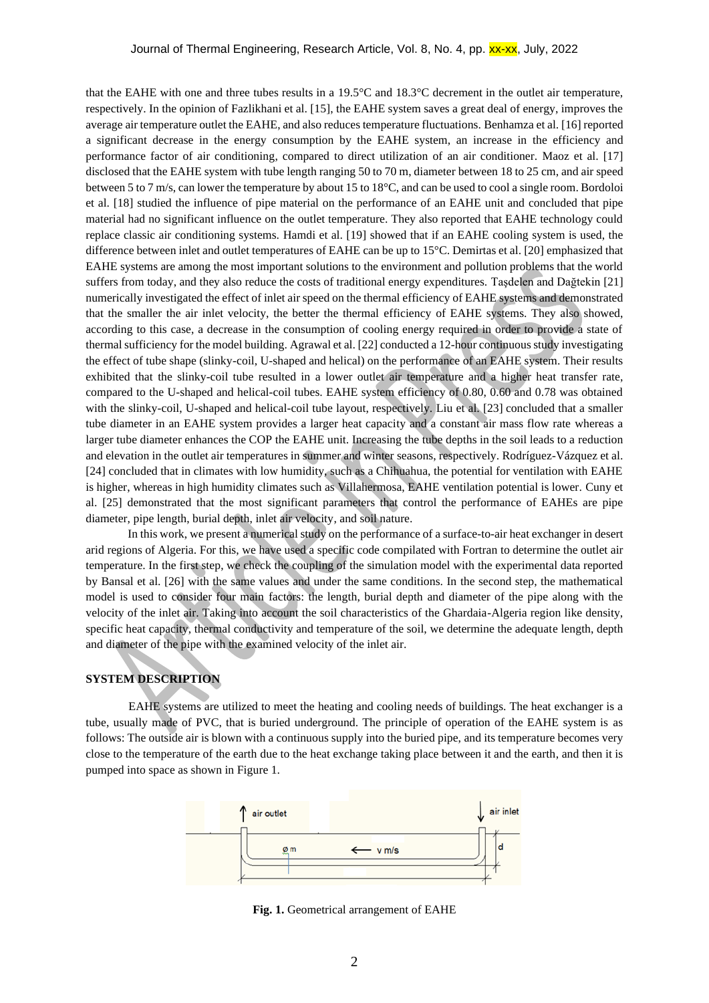that the EAHE with one and three tubes results in a 19.5°C and 18.3°C decrement in the outlet air temperature, respectively. In the opinion of Fazlikhani et al. [15], the EAHE system saves a great deal of energy, improves the average air temperature outlet the EAHE, and also reduces temperature fluctuations. Benhamza et al. [16] reported a significant decrease in the energy consumption by the EAHE system, an increase in the efficiency and performance factor of air conditioning, compared to direct utilization of an air conditioner. Maoz et al. [17] disclosed that the EAHE system with tube length ranging 50 to 70 m, diameter between 18 to 25 cm, and air speed between 5 to 7 m/s, can lower the temperature by about 15 to 18°C, and can be used to cool a single room. Bordoloi et al. [18] studied the influence of pipe material on the performance of an EAHE unit and concluded that pipe material had no significant influence on the outlet temperature. They also reported that EAHE technology could replace classic air conditioning systems. Hamdi et al. [19] showed that if an EAHE cooling system is used, the difference between inlet and outlet temperatures of EAHE can be up to 15°C. Demirtas et al. [20] emphasized that EAHE systems are among the most important solutions to the environment and pollution problems that the world suffers from today, and they also reduce the costs of traditional energy expenditures. Taşdelen and Dağtekin [21] numerically investigated the effect of inlet air speed on the thermal efficiency of EAHE systems and demonstrated that the smaller the air inlet velocity, the better the thermal efficiency of EAHE systems. They also showed, according to this case, a decrease in the consumption of cooling energy required in order to provide a state of thermal sufficiency for the model building. Agrawal et al. [22] conducted a 12-hour continuous study investigating the effect of tube shape (slinky-coil, U-shaped and helical) on the performance of an EAHE system. Their results exhibited that the slinky-coil tube resulted in a lower outlet air temperature and a higher heat transfer rate, compared to the U-shaped and helical-coil tubes. EAHE system efficiency of 0.80, 0.60 and 0.78 was obtained with the slinky-coil, U-shaped and helical-coil tube layout, respectively. Liu et al. [23] concluded that a smaller tube diameter in an EAHE system provides a larger heat capacity and a constant air mass flow rate whereas a larger tube diameter enhances the COP the EAHE unit. Increasing the tube depths in the soil leads to a reduction and elevation in the outlet air temperatures in summer and winter seasons, respectively. Rodríguez-Vázquez et al. [24] concluded that in climates with low humidity, such as a Chihuahua, the potential for ventilation with EAHE is higher, whereas in high humidity climates such as Villahermosa, EAHE ventilation potential is lower. Cuny et al. [25] demonstrated that the most significant parameters that control the performance of EAHEs are pipe diameter, pipe length, burial depth, inlet air velocity, and soil nature.

In this work, we present a numerical study on the performance of a surface-to-air heat exchanger in desert arid regions of Algeria. For this, we have used a specific code compilated with Fortran to determine the outlet air temperature. In the first step, we check the coupling of the simulation model with the experimental data reported by Bansal et al. [26] with the same values and under the same conditions. In the second step, the mathematical model is used to consider four main factors: the length, burial depth and diameter of the pipe along with the velocity of the inlet air. Taking into account the soil characteristics of the Ghardaia-Algeria region like density, specific heat capacity, thermal conductivity and temperature of the soil, we determine the adequate length, depth and diameter of the pipe with the examined velocity of the inlet air.

### **SYSTEM DESCRIPTION**

EAHE systems are utilized to meet the heating and cooling needs of buildings. The heat exchanger is a tube, usually made of PVC, that is buried underground. The principle of operation of the EAHE system is as follows: The outside air is blown with a continuous supply into the buried pipe, and its temperature becomes very close to the temperature of the earth due to the heat exchange taking place between it and the earth, and then it is pumped into space as shown in Figure 1.



**Fig. 1.** Geometrical arrangement of EAHE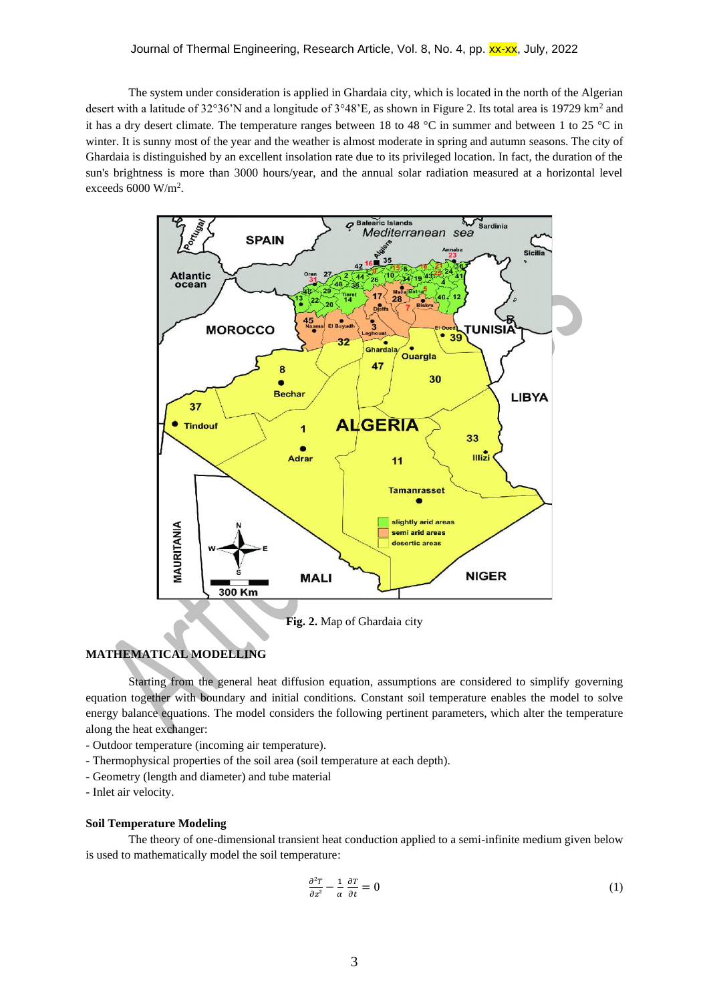The system under consideration is applied in Ghardaia city, which is located in the north of the Algerian desert with a latitude of 32°36'N and a longitude of 3°48'E, as shown in Figure 2. Its total area is 19729 km<sup>2</sup> and it has a dry desert climate. The temperature ranges between 18 to 48 °C in summer and between 1 to 25 °C in winter. It is sunny most of the year and the weather is almost moderate in spring and autumn seasons. The city of Ghardaia is distinguished by an excellent insolation rate due to its privileged location. In fact, the duration of the sun's brightness is more than 3000 hours/year, and the annual solar radiation measured at a horizontal level exceeds 6000 W/m<sup>2</sup> .



# **MATHEMATICAL MODELLING**

Starting from the general heat diffusion equation, assumptions are considered to simplify governing equation together with boundary and initial conditions. Constant soil temperature enables the model to solve energy balance equations. The model considers the following pertinent parameters, which alter the temperature along the heat exchanger:

- Outdoor temperature (incoming air temperature).
- Thermophysical properties of the soil area (soil temperature at each depth).
- Geometry (length and diameter) and tube material

- Inlet air velocity.

#### **Soil Temperature Modeling**

The theory of one-dimensional transient heat conduction applied to a semi-infinite medium given below is used to mathematically model the soil temperature:

$$
\frac{\partial^2 T}{\partial z^2} - \frac{1}{\alpha} \frac{\partial T}{\partial t} = 0 \tag{1}
$$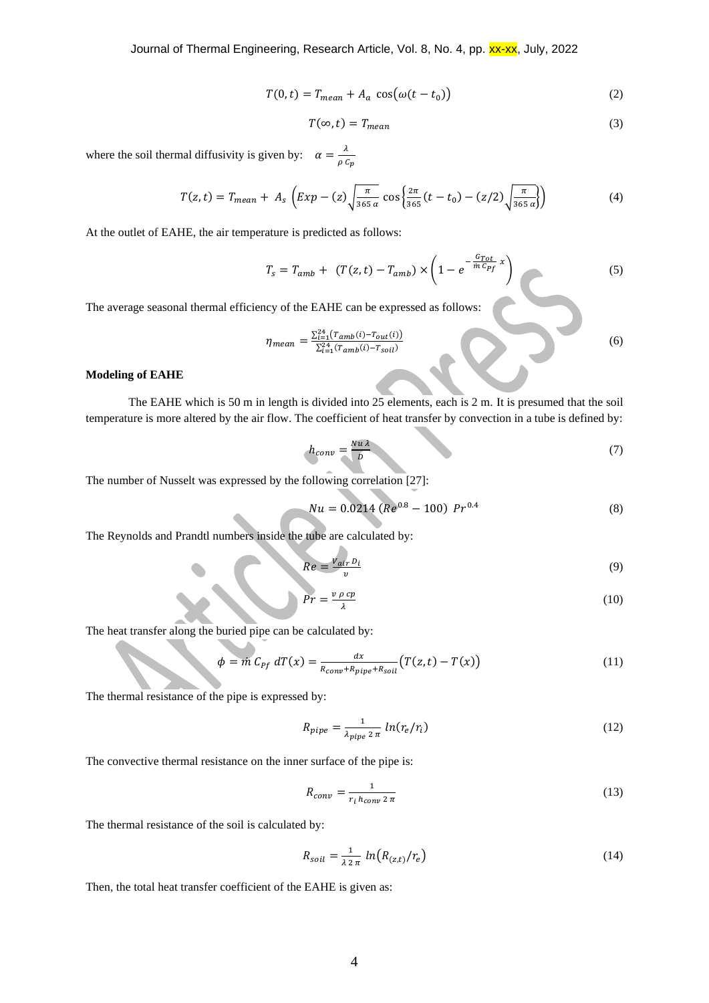Journal of Thermal Engineering, Research Article, Vol. 8, No. 4, pp. xx-xx, July, 2022

$$
T(0,t) = T_{mean} + A_a \cos(\omega(t - t_0))
$$
\n(2)

$$
T(\infty, t) = T_{mean} \tag{3}
$$

where the soil thermal diffusivity is given by:  $\alpha = \frac{\lambda}{\lambda}$  $\rho$   $C_p$ 

$$
T(z,t) = T_{mean} + A_s \left( Exp - (z) \sqrt{\frac{\pi}{365 \alpha}} \cos \left\{ \frac{2\pi}{365} (t - t_0) - (z/2) \sqrt{\frac{\pi}{365 \alpha}} \right\} \right)
$$
(4)

At the outlet of EAHE, the air temperature is predicted as follows:

$$
T_s = T_{amb} + (T(z, t) - T_{amb}) \times \left(1 - e^{-\frac{G_{Tot}}{m C_{Pf}} x}\right)
$$
(5)

The average seasonal thermal efficiency of the EAHE can be expressed as follows:

$$
\eta_{mean} = \frac{\sum_{i=1}^{24} (T_{amb}(i) - T_{out}(i))}{\sum_{i=1}^{24} (T_{amb}(i) - T_{soil})}
$$
(6)

### **Modeling of EAHE**

The EAHE which is 50 m in length is divided into 25 elements, each is 2 m. It is presumed that the soil temperature is more altered by the air flow. The coefficient of heat transfer by convection in a tube is defined by:

$$
h_{conv} = \frac{Nu\lambda}{D} \tag{7}
$$

The number of Nusselt was expressed by the following correlation [27]:

$$
Nu = 0.0214 (Re0.8 - 100) Pr0.4
$$
 (8)

The Reynolds and Prandtl numbers inside the tube are calculated by:

$$
Re = \frac{v_{air} b_i}{v} \tag{9}
$$

$$
Pr = \frac{v \, \rho \, cp}{\lambda} \tag{10}
$$

The heat transfer along the buried pipe can be calculated by:

$$
\phi = \dot{m} C_{Pf} dT(x) = \frac{dx}{R_{conv} + R_{pipe} + R_{soil}} (T(z, t) - T(x))
$$
\n(11)

The thermal resistance of the pipe is expressed by:

$$
R_{pipe} = \frac{1}{\lambda_{pipe} \, 2 \, \pi} \ln(r_e/r_i) \tag{12}
$$

The convective thermal resistance on the inner surface of the pipe is:

$$
R_{conv} = \frac{1}{r_i h_{conv} 2 \pi} \tag{13}
$$

The thermal resistance of the soil is calculated by:

$$
R_{soil} = \frac{1}{\lambda \, 2 \, \pi} \ln \left( R_{(z,t)} / r_e \right) \tag{14}
$$

Then, the total heat transfer coefficient of the EAHE is given as: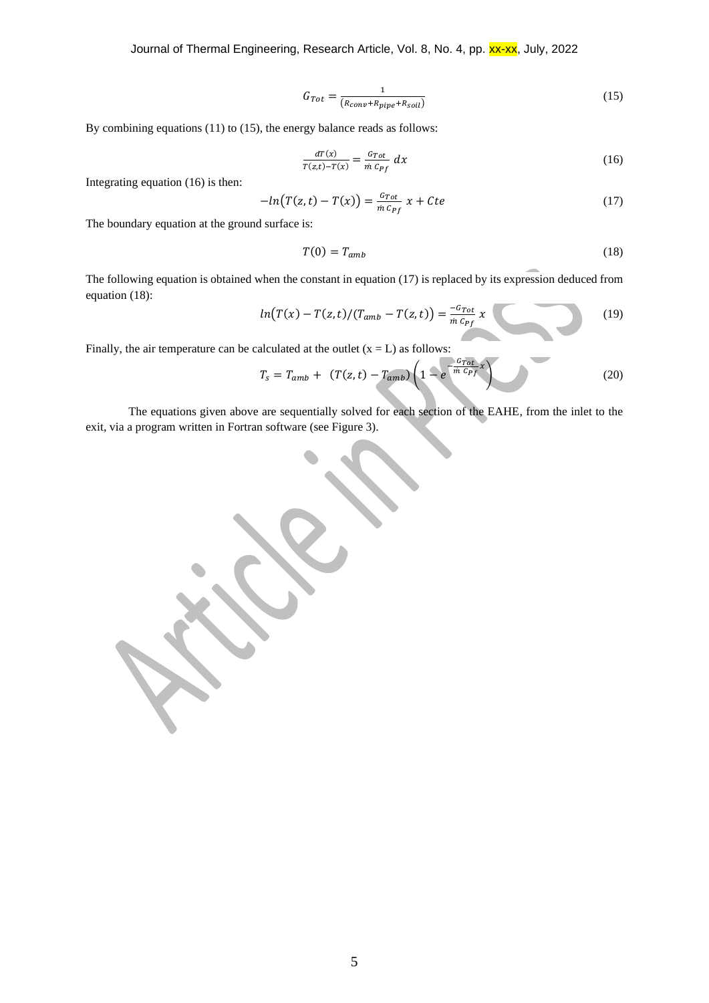Journal of Thermal Engineering, Research Article, Vol. 8, No. 4, pp. xx-xx, July, 2022

$$
G_{Tot} = \frac{1}{(R_{conv} + R_{pipe} + R_{soil})}
$$
(15)

By combining equations (11) to (15), the energy balance reads as follows:

$$
\frac{dT(x)}{T(z,t)-T(x)} = \frac{G_{Tot}}{\dot{m} C_{Pf}} dx
$$
\n(16)

Integrating equation (16) is then:

$$
-ln(T(z,t) - T(x)) = \frac{G_{Tot}}{\dot{m} C_{Pf}} x + Cte
$$
\n(17)

The boundary equation at the ground surface is:

$$
T(0) = T_{amb} \tag{18}
$$

The following equation is obtained when the constant in equation (17) is replaced by its expression deduced from equation (18):

$$
ln(T(x) - T(z, t)/(T_{amb} - T(z, t)) = \frac{-c_{Tot}}{m c_{Pf}} x
$$
 (19)

Finally, the air temperature can be calculated at the outlet  $(x = L)$  as follows:

$$
T_s = T_{amb} + (T(z, t) - T_{amb}) \left( 1 - e^{\frac{G_{Tot}}{m} c_{Pf} x} \right)
$$
 (20)

The equations given above are sequentially solved for each section of the EAHE, from the inlet to the exit, via a program written in Fortran software (see Figure 3).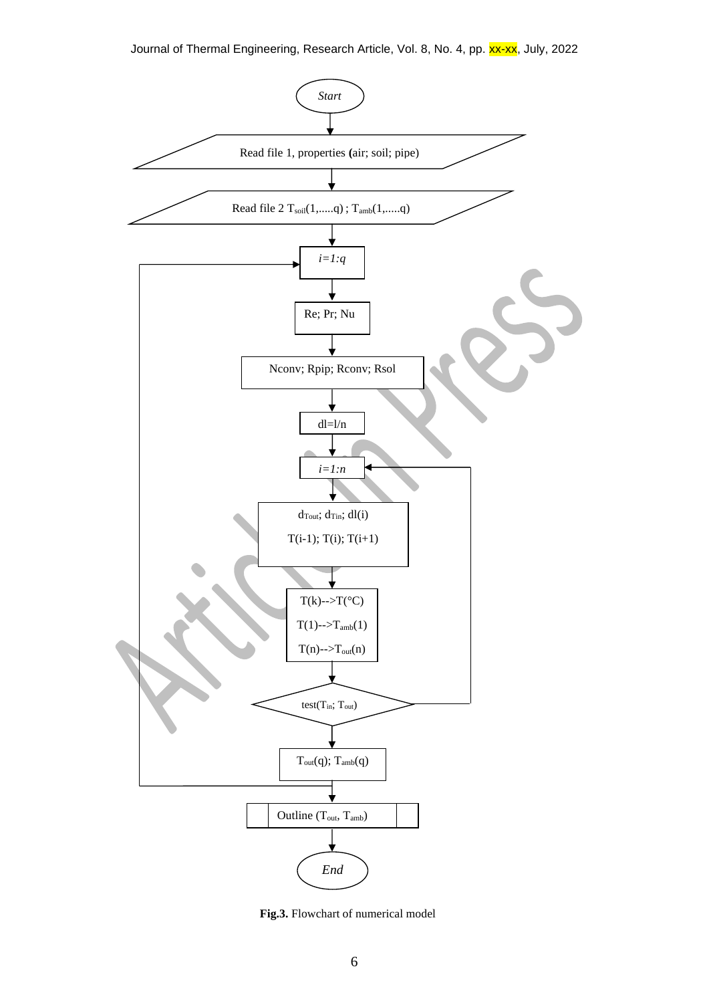

**Fig.3.** Flowchart of numerical model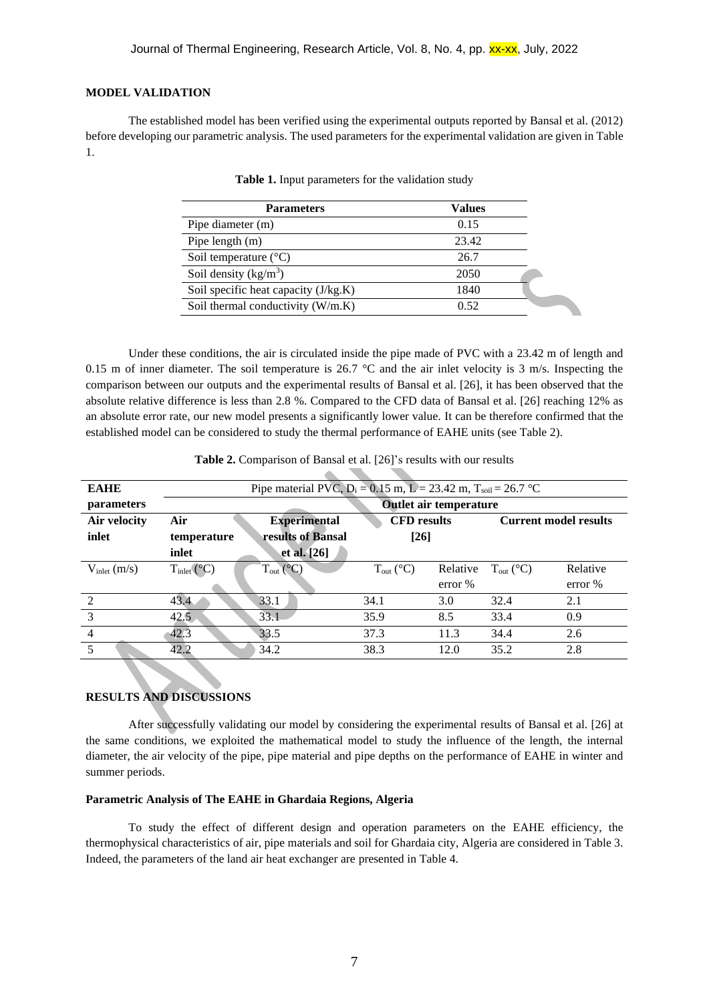#### **MODEL VALIDATION**

The established model has been verified using the experimental outputs reported by Bansal et al. (2012) before developing our parametric analysis. The used parameters for the experimental validation are given in Table 1.

| <b>Parameters</b>                    | Values |  |
|--------------------------------------|--------|--|
| Pipe diameter (m)                    | 0.15   |  |
| Pipe length $(m)$                    | 23.42  |  |
| Soil temperature $(^{\circ}C)$       | 26.7   |  |
| Soil density $(kg/m^3)$              | 2050   |  |
| Soil specific heat capacity (J/kg.K) | 1840   |  |
| Soil thermal conductivity (W/m.K)    | 0.52   |  |

**Table 1.** Input parameters for the validation study

Under these conditions, the air is circulated inside the pipe made of PVC with a 23.42 m of length and 0.15 m of inner diameter. The soil temperature is 26.7  $^{\circ}$ C and the air inlet velocity is 3 m/s. Inspecting the comparison between our outputs and the experimental results of Bansal et al. [26], it has been observed that the absolute relative difference is less than 2.8 %. Compared to the CFD data of Bansal et al. [26] reaching 12% as an absolute error rate, our new model presents a significantly lower value. It can be therefore confirmed that the established model can be considered to study the thermal performance of EAHE units (see Table 2).

| <b>EAHE</b>              | Pipe material PVC, $D_i = 0.15$ m, $L = 23.42$ m, $T_{soil} = 26.7$ °C |                           |                           |          |                              |          |
|--------------------------|------------------------------------------------------------------------|---------------------------|---------------------------|----------|------------------------------|----------|
| <i>parameters</i>        | <b>Outlet air temperature</b>                                          |                           |                           |          |                              |          |
| Air velocity             | Air                                                                    | <b>Experimental</b>       | <b>CFD</b> results        |          | <b>Current model results</b> |          |
| inlet                    | temperature                                                            | results of Bansal         | $[26]$                    |          |                              |          |
|                          | inlet                                                                  | et al. [26]               |                           |          |                              |          |
| $V_{\text{inlet}}$ (m/s) | $T_{\text{inlet}}$ (°C)                                                | $T_{out}$ ( $^{\circ}$ C) | $T_{out}$ ( $^{\circ}$ C) | Relative | $T_{out}$ (°C)               | Relative |
|                          |                                                                        |                           |                           | error %  |                              | error %  |
| $\mathcal{L}$            | 43.4                                                                   | 33.1                      | 34.1                      | 3.0      | 32.4                         | 2.1      |
| 3                        | 42.5                                                                   | 33.1                      | 35.9                      | 8.5      | 33.4                         | 0.9      |
| $\overline{4}$           | 42.3                                                                   | 33.5                      | 37.3                      | 11.3     | 34.4                         | 2.6      |
| 5                        | 42.2                                                                   | 34.2                      | 38.3                      | 12.0     | 35.2                         | 2.8      |

**Table 2.** Comparison of Bansal et al. [26]'s results with our results

# **RESULTS AND DISCUSSIONS**

After successfully validating our model by considering the experimental results of Bansal et al. [26] at the same conditions, we exploited the mathematical model to study the influence of the length, the internal diameter, the air velocity of the pipe, pipe material and pipe depths on the performance of EAHE in winter and summer periods.

# **Parametric Analysis of The EAHE in Ghardaia Regions, Algeria**

To study the effect of different design and operation parameters on the EAHE efficiency, the thermophysical characteristics of air, pipe materials and soil for Ghardaia city, Algeria are considered in Table 3. Indeed, the parameters of the land air heat exchanger are presented in Table 4.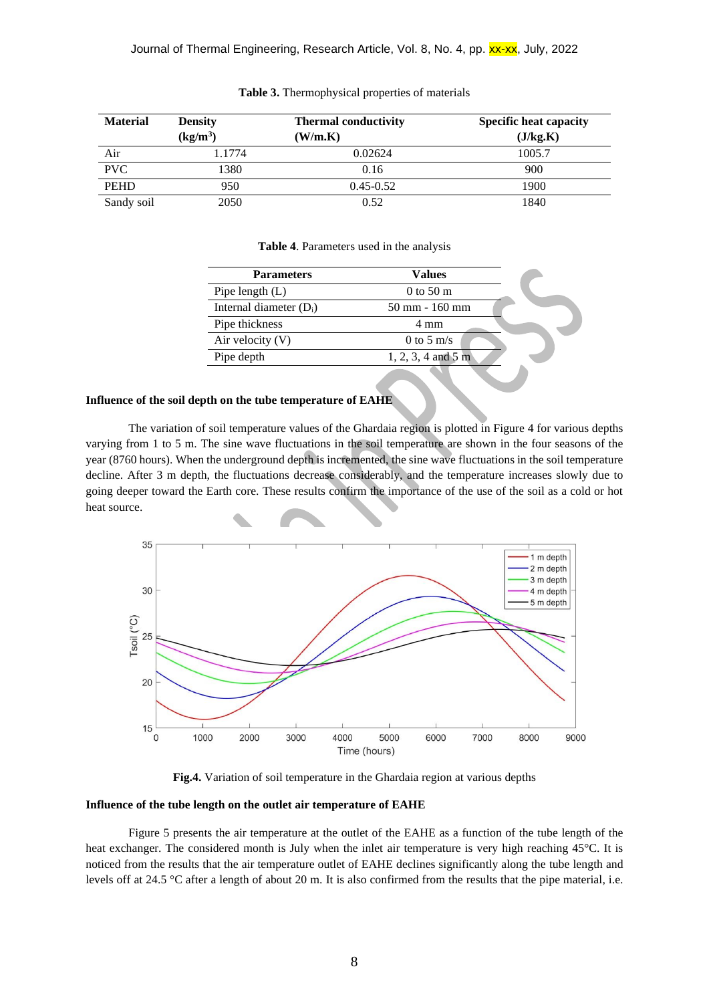| <b>Material</b> | <b>Density</b> | <b>Thermal conductivity</b> | <b>Specific heat capacity</b> |
|-----------------|----------------|-----------------------------|-------------------------------|
|                 | $(kg/m^3)$     | (W/m.K)                     | (J/kg.K)                      |
| Air             | 1.1774         | 0.02624                     | 1005.7                        |
| <b>PVC</b>      | 1380           | 0.16                        | 900                           |
| <b>PEHD</b>     | 950            | $0.45 - 0.52$               | 1900                          |
| Sandy soil      | 2050           | 0.52                        | 1840                          |

#### **Table 3.** Thermophysical properties of materials

#### **Table 4**. Parameters used in the analysis

| <b>Parameters</b>         | Values                           |  |
|---------------------------|----------------------------------|--|
| Pipe length $(L)$         | $0 \text{ to } 50 \text{ m}$     |  |
| Internal diameter $(D_i)$ | $50 \text{ mm} - 160 \text{ mm}$ |  |
| Pipe thickness            | 4 mm                             |  |
| Air velocity $(V)$        | 0 to 5 m/s                       |  |
| Pipe depth                | $1, 2, 3, 4$ and 5 m             |  |
|                           |                                  |  |

# **Influence of the soil depth on the tube temperature of EAHE**

The variation of soil temperature values of the Ghardaia region is plotted in Figure 4 for various depths varying from 1 to 5 m. The sine wave fluctuations in the soil temperature are shown in the four seasons of the year (8760 hours). When the underground depth is incremented, the sine wave fluctuations in the soil temperature decline. After 3 m depth, the fluctuations decrease considerably, and the temperature increases slowly due to going deeper toward the Earth core. These results confirm the importance of the use of the soil as a cold or hot heat source.



**Fig.4.** Variation of soil temperature in the Ghardaia region at various depths

# **Influence of the tube length on the outlet air temperature of EAHE**

Figure 5 presents the air temperature at the outlet of the EAHE as a function of the tube length of the heat exchanger. The considered month is July when the inlet air temperature is very high reaching 45°C. It is noticed from the results that the air temperature outlet of EAHE declines significantly along the tube length and levels off at 24.5 °C after a length of about 20 m. It is also confirmed from the results that the pipe material, i.e.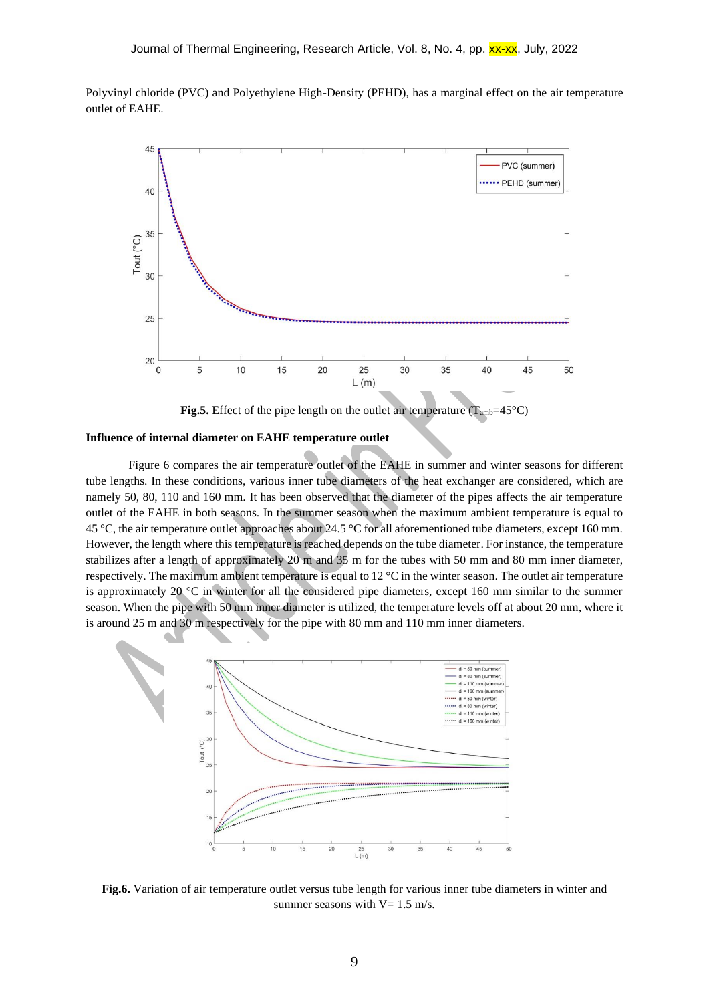Polyvinyl chloride (PVC) and Polyethylene High-Density (PEHD), has a marginal effect on the air temperature outlet of EAHE.



**Fig.5.** Effect of the pipe length on the outlet air temperature ( $T_{amb} = 45^{\circ}C$ )

# **Influence of internal diameter on EAHE temperature outlet**

Figure 6 compares the air temperature outlet of the EAHE in summer and winter seasons for different tube lengths. In these conditions, various inner tube diameters of the heat exchanger are considered, which are namely 50, 80, 110 and 160 mm. It has been observed that the diameter of the pipes affects the air temperature outlet of the EAHE in both seasons. In the summer season when the maximum ambient temperature is equal to 45 °C, the air temperature outlet approaches about 24.5 °C for all aforementioned tube diameters, except 160 mm. However, the length where this temperature is reached depends on the tube diameter. For instance, the temperature stabilizes after a length of approximately 20 m and 35 m for the tubes with 50 mm and 80 mm inner diameter, respectively. The maximum ambient temperature is equal to 12 °C in the winter season. The outlet air temperature is approximately 20 °C in winter for all the considered pipe diameters, except 160 mm similar to the summer season. When the pipe with 50 mm inner diameter is utilized, the temperature levels off at about 20 mm, where it is around 25 m and 30 m respectively for the pipe with 80 mm and 110 mm inner diameters.



**Fig.6.** Variation of air temperature outlet versus tube length for various inner tube diameters in winter and summer seasons with  $V = 1.5$  m/s.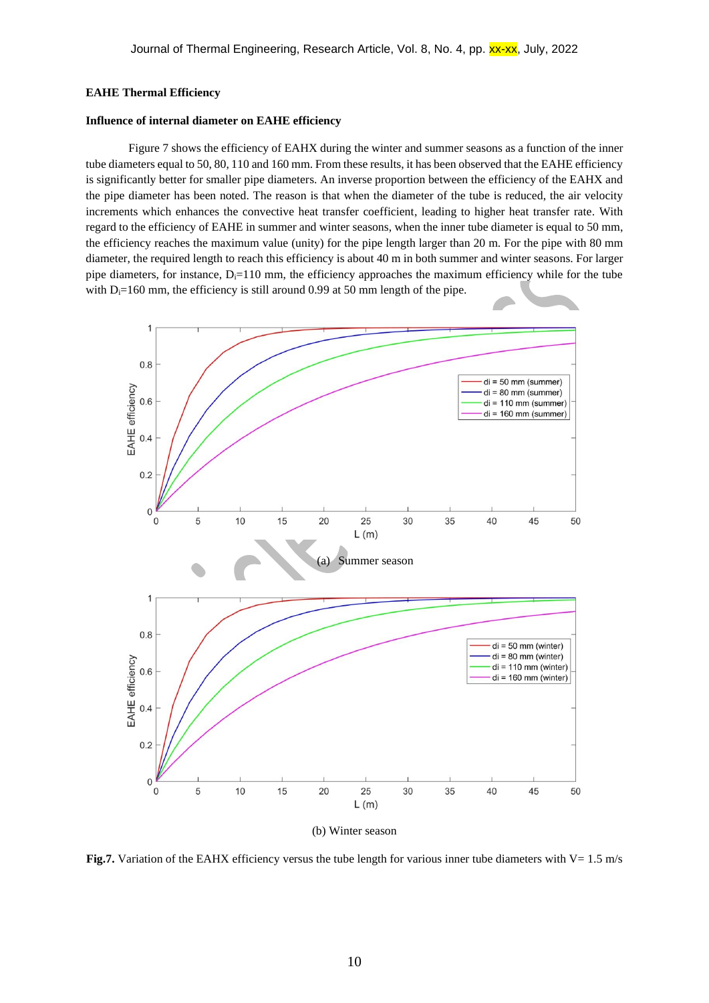## **EAHE Thermal Efficiency**

### **Influence of internal diameter on EAHE efficiency**

Figure 7 shows the efficiency of EAHX during the winter and summer seasons as a function of the inner tube diameters equal to 50, 80, 110 and 160 mm. From these results, it has been observed that the EAHE efficiency is significantly better for smaller pipe diameters. An inverse proportion between the efficiency of the EAHX and the pipe diameter has been noted. The reason is that when the diameter of the tube is reduced, the air velocity increments which enhances the convective heat transfer coefficient, leading to higher heat transfer rate. With regard to the efficiency of EAHE in summer and winter seasons, when the inner tube diameter is equal to 50 mm, the efficiency reaches the maximum value (unity) for the pipe length larger than 20 m. For the pipe with 80 mm diameter, the required length to reach this efficiency is about 40 m in both summer and winter seasons. For larger pipe diameters, for instance,  $D_i=110$  mm, the efficiency approaches the maximum efficiency while for the tube with  $D_i=160$  mm, the efficiency is still around 0.99 at 50 mm length of the pipe.



**Fig.7.** Variation of the EAHX efficiency versus the tube length for various inner tube diameters with V=  $1.5$  m/s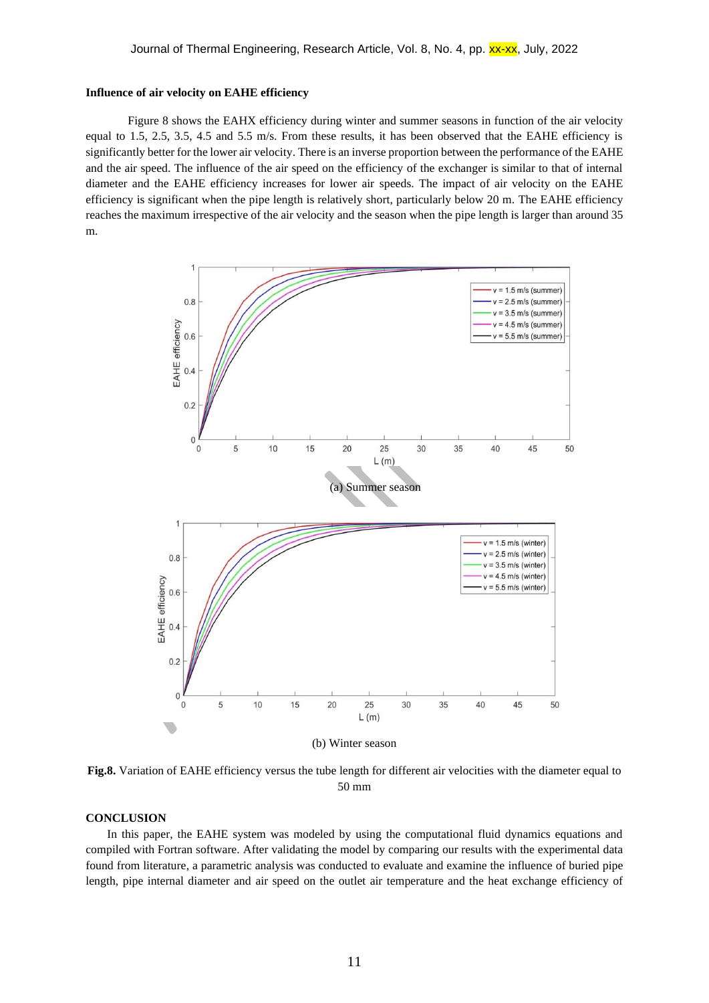#### **Influence of air velocity on EAHE efficiency**

Figure 8 shows the EAHX efficiency during winter and summer seasons in function of the air velocity equal to 1.5, 2.5, 3.5, 4.5 and 5.5 m/s. From these results, it has been observed that the EAHE efficiency is significantly better for the lower air velocity. There is an inverse proportion between the performance of the EAHE and the air speed. The influence of the air speed on the efficiency of the exchanger is similar to that of internal diameter and the EAHE efficiency increases for lower air speeds. The impact of air velocity on the EAHE efficiency is significant when the pipe length is relatively short, particularly below 20 m. The EAHE efficiency reaches the maximum irrespective of the air velocity and the season when the pipe length is larger than around 35 m.



**Fig.8.** Variation of EAHE efficiency versus the tube length for different air velocities with the diameter equal to 50 mm

# **CONCLUSION**

In this paper, the EAHE system was modeled by using the computational fluid dynamics equations and compiled with Fortran software. After validating the model by comparing our results with the experimental data found from literature, a parametric analysis was conducted to evaluate and examine the influence of buried pipe length, pipe internal diameter and air speed on the outlet air temperature and the heat exchange efficiency of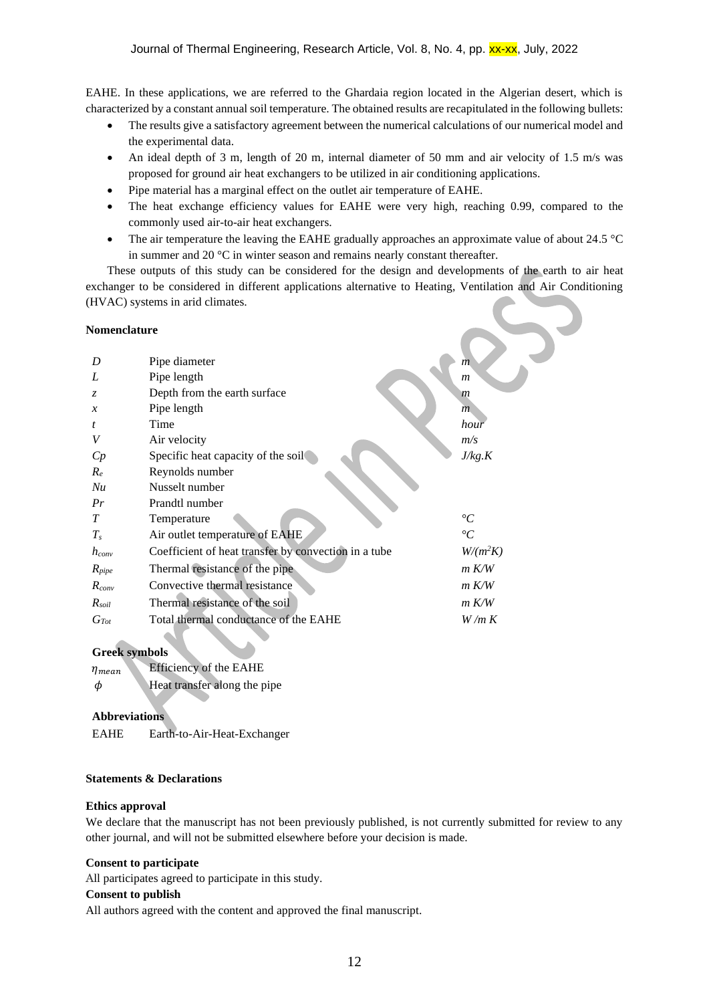EAHE. In these applications, we are referred to the Ghardaia region located in the Algerian desert, which is characterized by a constant annual soil temperature. The obtained results are recapitulated in the following bullets:

- The results give a satisfactory agreement between the numerical calculations of our numerical model and the experimental data.
- An ideal depth of 3 m, length of 20 m, internal diameter of 50 mm and air velocity of 1.5 m/s was proposed for ground air heat exchangers to be utilized in air conditioning applications.
- Pipe material has a marginal effect on the outlet air temperature of EAHE.
- The heat exchange efficiency values for EAHE were very high, reaching 0.99, compared to the commonly used air-to-air heat exchangers.
- The air temperature the leaving the EAHE gradually approaches an approximate value of about 24.5 °C in summer and 20 °C in winter season and remains nearly constant thereafter.

These outputs of this study can be considered for the design and developments of the earth to air heat exchanger to be considered in different applications alternative to Heating, Ventilation and Air Conditioning (HVAC) systems in arid climates.

### **Nomenclature**

| Nomenclature  |                                                      |                 |
|---------------|------------------------------------------------------|-----------------|
|               |                                                      |                 |
| D             | Pipe diameter                                        | $\overline{m}$  |
| L             | Pipe length                                          | $\mathfrak{m}$  |
| Z.            | Depth from the earth surface                         | m               |
| $\mathcal{X}$ | Pipe length                                          | $\overline{m}$  |
| t             | Time                                                 | hour            |
|               | Air velocity                                         | m/s             |
| Cp            | Specific heat capacity of the soil                   | J/kg.K          |
| $R_e$         | Reynolds number                                      |                 |
| Nu            | Nusselt number                                       |                 |
| Pr            | Prandtl number                                       |                 |
| T             | Temperature                                          | $\rm ^{\circ}C$ |
| $T_{s}$       | Air outlet temperature of EAHE                       | $\rm ^{\circ}C$ |
| $h_{conv}$    | Coefficient of heat transfer by convection in a tube | $W/(m^2K)$      |
| $R_{pipe}$    | Thermal resistance of the pipe                       | $m$ K/W         |
| $R_{conv}$    | Convective thermal resistance                        | $m$ K/W         |
| $R_{soil}$    | Thermal resistance of the soil                       | m K/W           |
| $G_{Tot}$     | Total thermal conductance of the EAHE                | W/m K           |
|               |                                                      |                 |

# **Greek symbols**

 $\eta_{mean}$  Efficiency of the EAHE  $\phi$  **Heat transfer along the pipe** 

### **Abbreviations**

EAHE Earth-to-Air-Heat-Exchanger

#### **Statements & Declarations**

# **Ethics approval**

We declare that the manuscript has not been previously published, is not currently submitted for review to any other journal, and will not be submitted elsewhere before your decision is made.

# **Consent to participate**

All participates agreed to participate in this study.

#### **Consent to publish**

All authors agreed with the content and approved the final manuscript.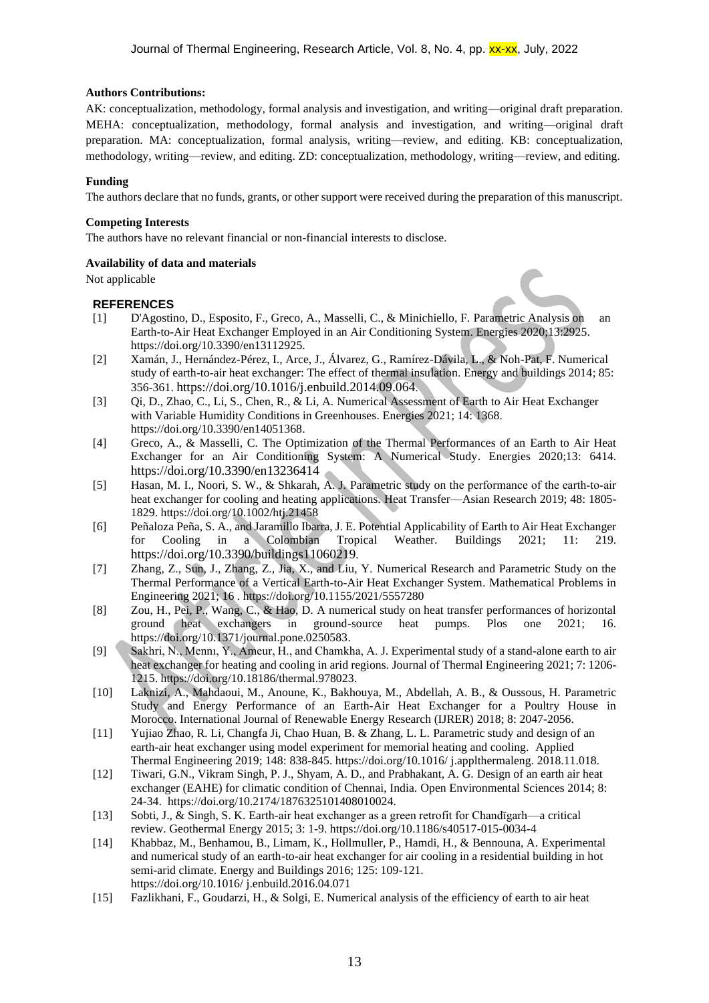### **Authors Contributions:**

AK: conceptualization, methodology, formal analysis and investigation, and writing—original draft preparation. MEHA: conceptualization, methodology, formal analysis and investigation, and writing—original draft preparation. MA: conceptualization, formal analysis, writing—review, and editing. KB: conceptualization, methodology, writing—review, and editing. ZD: conceptualization, methodology, writing—review, and editing.

### **Funding**

The authors declare that no funds, grants, or other support were received during the preparation of this manuscript.

### **Competing Interests**

The authors have no relevant financial or non-financial interests to disclose.

# **Availability of data and materials**

Not applicable

# **REFERENCES**

- [1] D'Agostino, D., Esposito, F., Greco, A., Masselli, C., & Minichiello, F. Parametric Analysis on an Earth-to-Air Heat Exchanger Employed in an Air Conditioning System. Energies 2020;13:2925. [https://doi.org/10.3390/en13112925](https://doi.org/10.1016/j.rser.2011.07.079).
- [2] Xamán, J., Hernández-Pérez, I., Arce, J., Álvarez, G., Ramírez-Dávila, L., & Noh-Pat, F. Numerical study of earth-to-air heat exchanger: The effect of thermal insulation. Energy and buildings 2014; 85: 356-361. <https://doi.org/10.1016/j.enbuild.2014.09.064>.
- [3] Qi, D., Zhao, C., Li, S., Chen, R., & Li, A. Numerical Assessment of Earth to Air Heat Exchanger with Variable Humidity Conditions in Greenhouses. Energies 2021; 14: 1368. [https://doi.org/10.3390/en14051368.](https://doi.org/10.3390/en14051368)
- [4] Greco, A., & Masselli, C. The Optimization of the Thermal Performances of an Earth to Air Heat Exchanger for an Air Conditioning System: A Numerical Study. Energies 2020;13: 6414. <https://doi.org/10.3390/en13236414>
- [5] Hasan, M. I., Noori, S. W., & Shkarah, A. J. Parametric study on the performance of the earth-to-air heat exchanger for cooling and heating applications. Heat Transfer—Asian Research 2019; 48: 1805- 1829.<https://doi.org/10.1002/htj.21458>
- [6] Peñaloza Peña, S. A., and Jaramillo Ibarra, J. E. Potential Applicability of Earth to Air Heat Exchanger for Cooling in a Colombian Tropical Weather. Buildings 2021; 11: 219. <https://doi.org/10.3390/buildings11060219>.
- [7] Zhang, Z., Sun, J., Zhang, Z., Jia, X., and Liu, Y. Numerical Research and Parametric Study on the Thermal Performance of a Vertical Earth-to-Air Heat Exchanger System. Mathematical Problems in Engineering 2021; 16 .<https://doi.org/10.1155/2021/5557280>
- [8] Zou, H., Pei, P., Wang, C., & Hao, D. A numerical study on heat transfer performances of horizontal ground heat exchangers in ground-source heat pumps. Plos one 2021; 16. [https://doi.org/10.1371/journal.pone.0250583.](https://doi.org/10.1371/journal.pone.0250583)
- [9] Sakhri, N., Mennı, Y., Ameur, H., and Chamkha, A. J. Experimental study of a stand-alone earth to air heat exchanger for heating and cooling in arid regions. Journal of Thermal Engineering 2021; 7: 1206- 1215. [https://doi.org/10.18186/thermal.978023.](https://doi.org/10.18186/thermal.978023)
- [10] Laknizi, A., Mahdaoui, M., Anoune, K., Bakhouya, M., Abdellah, A. B., & Oussous, H. Parametric Study and Energy Performance of an Earth-Air Heat Exchanger for a Poultry House in Morocco. International Journal of Renewable Energy Research (IJRER) 2018; 8: 2047-2056.
- [11] Yujiao Zhao, R. Li, Changfa Ji, Chao Huan, B. & Zhang, L. L. Parametric study and design of an earth-air heat exchanger using model experiment for memorial heating and cooling. Applied Thermal Engineering 2019; 148: 838-845. https://doi.org/10.1016/ j.applthermaleng. 2018.11.018.
- [12] Tiwari, G.N., Vikram Singh, P. J., Shyam, A. D., and Prabhakant, A. G. Design of an earth air heat exchanger (EAHE) for climatic condition of Chennai, India. Open Environmental Sciences 2014; 8: 24-34. [https://doi.org/10.2174/1876325101408010024.](https://doi.org/10.2174/1876325101408010024)
- [13] Sobti, J., & Singh, S. K. Earth-air heat exchanger as a green retrofit for Chandīgarh—a critical review. Geothermal Energy 2015; 3: 1-9.<https://doi.org/10.1186/s40517-015-0034-4>
- [14] Khabbaz, M., Benhamou, B., Limam, K., Hollmuller, P., Hamdi, H., & Bennouna, A. Experimental and numerical study of an earth-to-air heat exchanger for air cooling in a residential building in hot semi-arid climate. Energy and Buildings 2016; 125: 109-121. https://doi.org/10.1016/ j.enbuild.2016.04.071
- [15] Fazlikhani, F., Goudarzi, H., & Solgi, E. Numerical analysis of the efficiency of earth to air heat